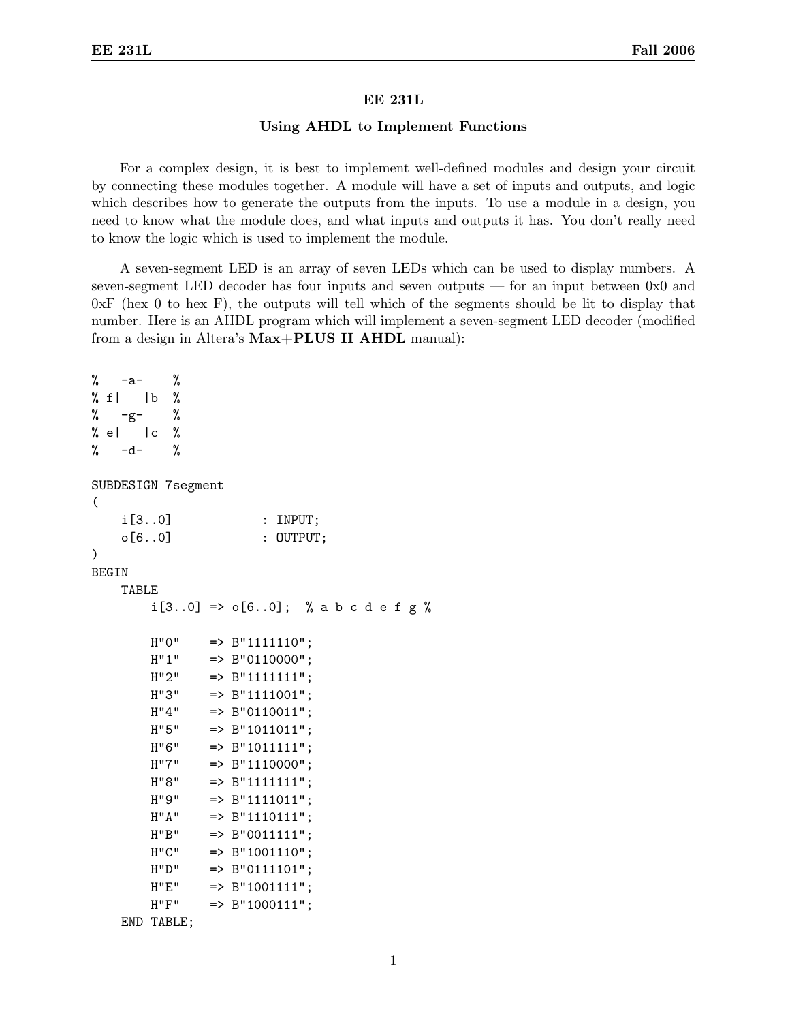## EE 231L

## Using AHDL to Implement Functions

For a complex design, it is best to implement well-defined modules and design your circuit by connecting these modules together. A module will have a set of inputs and outputs, and logic which describes how to generate the outputs from the inputs. To use a module in a design, you need to know what the module does, and what inputs and outputs it has. You don't really need to know the logic which is used to implement the module.

A seven-segment LED is an array of seven LEDs which can be used to display numbers. A seven-segment LED decoder has four inputs and seven outputs — for an input between 0x0 and  $0xF$  (hex 0 to hex F), the outputs will tell which of the segments should be lit to display that number. Here is an AHDL program which will implement a seven-segment LED decoder (modified from a design in Altera's Max+PLUS II AHDL manual):

```
\% -a- \%\% f| |b \%\% -g- \%% e| |c \rangle% -d- %
SUBDESIGN 7segment
(
    i[3..0] : INPUT;
    o[6..0] : OUTPUT;
)
BEGIN
    TABLE
        i[3..0] => o[6..0]; % a b c d e f g %
       H''0'' => B''1111110'';
        H''1'' => B''0110000'';
        H''2'' => B''1111111'';
        H''3'' => B''1111001'';
       H''4'' => B''0110011'';
       H''5'' => B''1011011'';
       H''6'' => B''1011111'';
        H''7'' => B''1110000'';
        H''8'' => B''1111111'';
        H''9'' => B''1111011'';
        H''A'' => B''1110111'';
        H''B'' => B''0011111'';
        H''C'' => B''1001110'';
       H"D" => B"0111101";
       H''E'' => B''1001111';
        H''F'' => B''1000111'';
    END TABLE;
```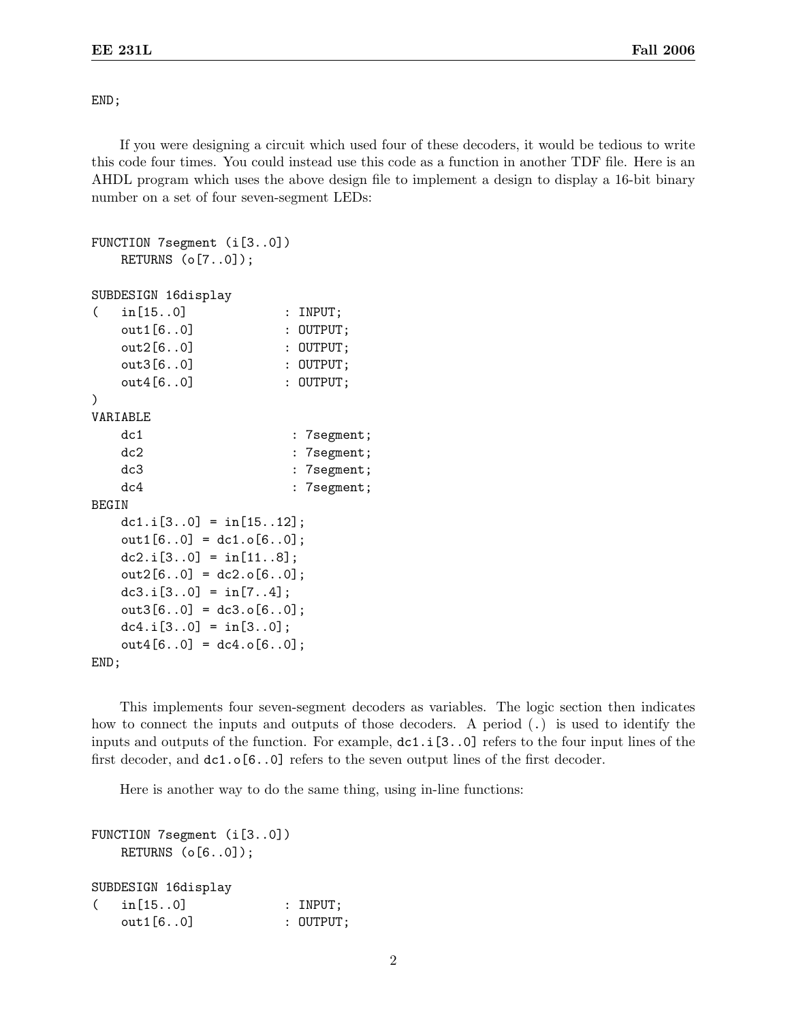END;

If you were designing a circuit which used four of these decoders, it would be tedious to write this code four times. You could instead use this code as a function in another TDF file. Here is an AHDL program which uses the above design file to implement a design to display a 16-bit binary number on a set of four seven-segment LEDs:

```
FUNCTION 7segment (i[3..0])
   RETURNS (o[7..0]);
SUBDESIGN 16display
( in[15..0] : INPUT;
   out1[6..0] : OUTPUT;
   out2[6..0] : OUTPUT;
   out3[6..0] : 0UTPUT;
   out4[6..0] : OUTPUT;
)
VARIABLE
   dc1 : 7segment;
   dc2 : 7segment;
   dc3 : 7segment;
   dc4 : 7segment;
BEGIN
   dc1.i[3..0] = \text{in}[15..12];
   out1[6..0] = dc1.o[6..0];dc2.i[3.0] = \text{in}[11.8];
   out2[6..0] = dc2.o[6..0];dc3.i[3.0] = \text{in}[7..4];
   out3[6..0] = dc3.o[6..0];dc4.i[3.0] = \text{in}[3.0];
   out4[6..0] = dc4.0[6..0];END;
```
This implements four seven-segment decoders as variables. The logic section then indicates how to connect the inputs and outputs of those decoders. A period (.) is used to identify the inputs and outputs of the function. For example, dc1.i[3..0] refers to the four input lines of the first decoder, and dc1.o[6..0] refers to the seven output lines of the first decoder.

Here is another way to do the same thing, using in-line functions:

```
FUNCTION 7segment (i[3..0])
   RETURNS (o[6..0]);
SUBDESIGN 16display
( in[15..0] : INPUT;
   out1[6..0] : 0UTPUT;
```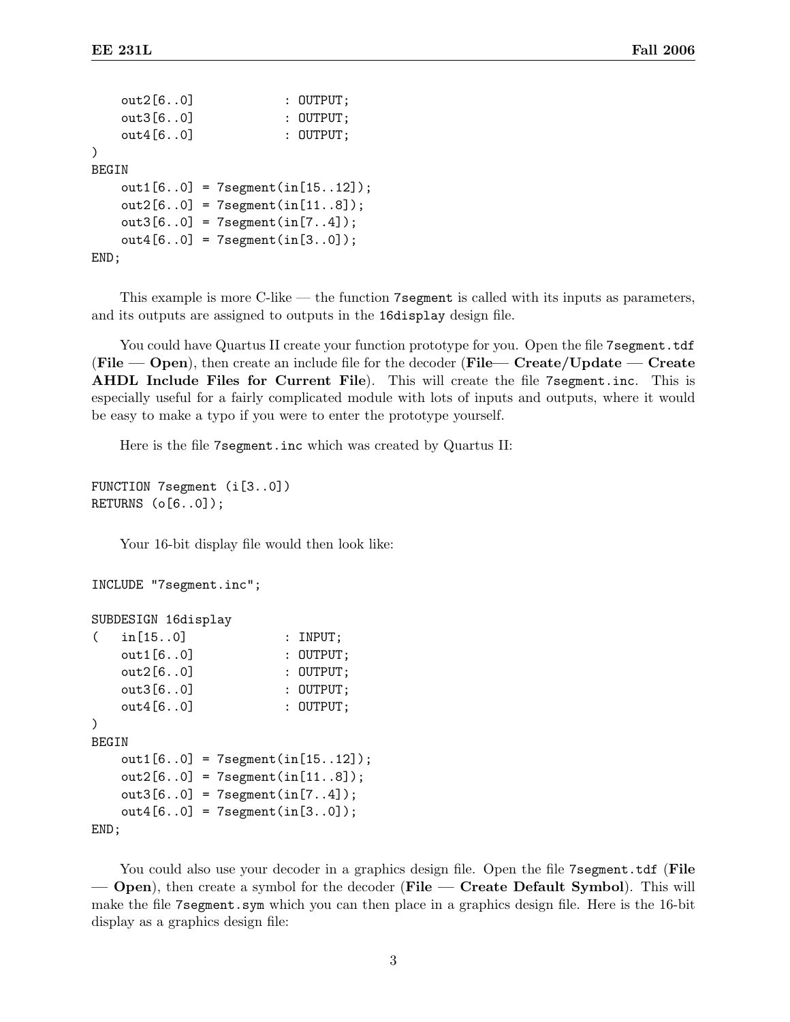```
out2[6..0] : OUTPUT;
   out3[6..0] : 0UTPUT;
   out4[6..0] : OUTPUT;
)
BEGIN
   out1[6..0] = 7segment(in[15..12]);
   out2[6..0] = 7segment(in[11..8]);
   out3[6..0] = 7segment(in[7..4]);
   out4[6..0] = 7segment(in[3..0]);
END;
```
This example is more C-like — the function 7 segment is called with its inputs as parameters, and its outputs are assigned to outputs in the 16display design file.

You could have Quartus II create your function prototype for you. Open the file 7 segment.tdf (File — Open), then create an include file for the decoder (File — Create/Update — Create AHDL Include Files for Current File). This will create the file 7segment.inc. This is especially useful for a fairly complicated module with lots of inputs and outputs, where it would be easy to make a typo if you were to enter the prototype yourself.

Here is the file 7segment.inc which was created by Quartus II:

```
FUNCTION 7segment (i[3..0])
RETURNS (o[6..0]);
```
Your 16-bit display file would then look like:

```
INCLUDE "7segment.inc";
SUBDESIGN 16display
```

```
( in[15..0] : INPUT;
   out1[6..0] : 0UTPUT;
   out2[6..0] : 0UTPUT;
   out3[6..0] : 0UTPUT;
   out4[6..0] : 0UTPUT;
)
BEGIN
   out1[6..0] = 7segment(in[15..12]);
   out2[6..0] = 7segment(in[11..8]);
   out3[6..0] = 7segment(in[7..4]);
   out4[6..0] = 7segment(in[3..0]);
END;
```
You could also use your decoder in a graphics design file. Open the file 7 segment.tdf (File — Open), then create a symbol for the decoder (File — Create Default Symbol). This will make the file 7segment.sym which you can then place in a graphics design file. Here is the 16-bit display as a graphics design file: